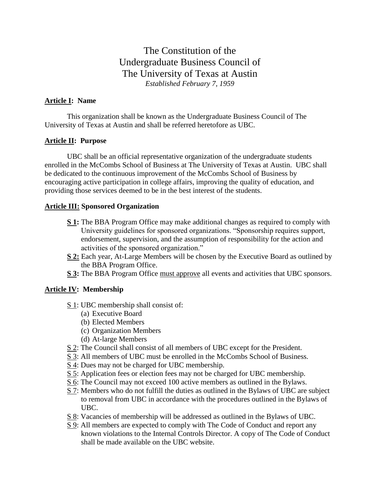The Constitution of the Undergraduate Business Council of The University of Texas at Austin *Established February 7, 1959*

#### **Article I: Name**

This organization shall be known as the Undergraduate Business Council of The University of Texas at Austin and shall be referred heretofore as UBC.

## **Article II: Purpose**

UBC shall be an official representative organization of the undergraduate students enrolled in the McCombs School of Business at The University of Texas at Austin. UBC shall be dedicated to the continuous improvement of the McCombs School of Business by encouraging active participation in college affairs, improving the quality of education, and providing those services deemed to be in the best interest of the students.

### **Article III: Sponsored Organization**

- **S 1:** The BBA Program Office may make additional changes as required to comply with University guidelines for sponsored organizations. "Sponsorship requires support, endorsement, supervision, and the assumption of responsibility for the action and activities of the sponsored organization."
- **S 2:** Each year, At-Large Members will be chosen by the Executive Board as outlined by the BBA Program Office.
- **S 3:** The BBA Program Office must approve all events and activities that UBC sponsors.

## **Article IV: Membership**

- S 1: UBC membership shall consist of:
	- (a) Executive Board
	- (b) Elected Members
	- (c) Organization Members
	- (d) At-large Members
- S 2: The Council shall consist of all members of UBC except for the President.
- S 3: All members of UBC must be enrolled in the McCombs School of Business.
- S 4: Dues may not be charged for UBC membership.
- S 5: Application fees or election fees may not be charged for UBC membership.
- S 6: The Council may not exceed 100 active members as outlined in the Bylaws.
- S 7: Members who do not fulfill the duties as outlined in the Bylaws of UBC are subject to removal from UBC in accordance with the procedures outlined in the Bylaws of UBC.
- S 8: Vacancies of membership will be addressed as outlined in the Bylaws of UBC.
- S 9: All members are expected to comply with The Code of Conduct and report any known violations to the Internal Controls Director. A copy of The Code of Conduct shall be made available on the UBC website.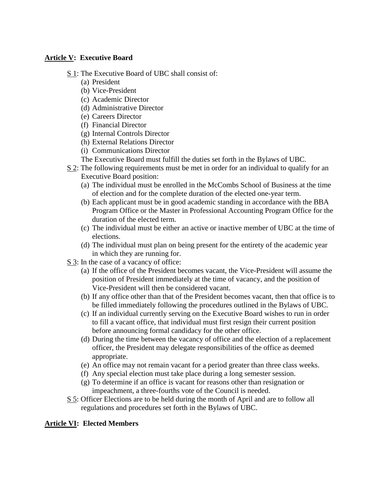### **Article V: Executive Board**

- S 1: The Executive Board of UBC shall consist of:
	- (a) President
	- (b) Vice-President
	- (c) Academic Director
	- (d) Administrative Director
	- (e) Careers Director
	- (f) Financial Director
	- (g) Internal Controls Director
	- (h) External Relations Director
	- (i) Communications Director
	- The Executive Board must fulfill the duties set forth in the Bylaws of UBC.
- S 2: The following requirements must be met in order for an individual to qualify for an Executive Board position:
	- (a) The individual must be enrolled in the McCombs School of Business at the time of election and for the complete duration of the elected one-year term.
	- (b) Each applicant must be in good academic standing in accordance with the BBA Program Office or the Master in Professional Accounting Program Office for the duration of the elected term.
	- (c) The individual must be either an active or inactive member of UBC at the time of elections.
	- (d) The individual must plan on being present for the entirety of the academic year in which they are running for.
- S 3: In the case of a vacancy of office:
	- (a) If the office of the President becomes vacant, the Vice-President will assume the position of President immediately at the time of vacancy, and the position of Vice-President will then be considered vacant.
	- (b) If any office other than that of the President becomes vacant, then that office is to be filled immediately following the procedures outlined in the Bylaws of UBC.
	- (c) If an individual currently serving on the Executive Board wishes to run in order to fill a vacant office, that individual must first resign their current position before announcing formal candidacy for the other office.
	- (d) During the time between the vacancy of office and the election of a replacement officer, the President may delegate responsibilities of the office as deemed appropriate.
	- (e) An office may not remain vacant for a period greater than three class weeks.
	- (f) Any special election must take place during a long semester session.
	- (g) To determine if an office is vacant for reasons other than resignation or impeachment, a three-fourths vote of the Council is needed.
- S 5: Officer Elections are to be held during the month of April and are to follow all regulations and procedures set forth in the Bylaws of UBC.

## **Article VI: Elected Members**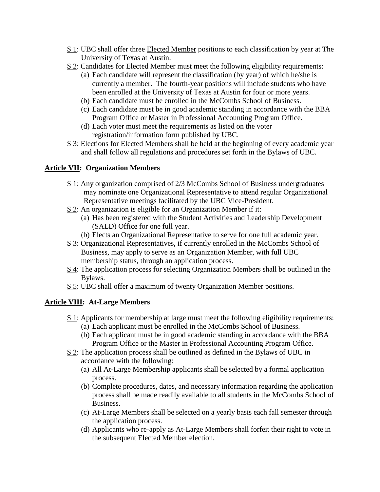- S 1: UBC shall offer three Elected Member positions to each classification by year at The University of Texas at Austin.
- S 2: Candidates for Elected Member must meet the following eligibility requirements:
	- (a) Each candidate will represent the classification (by year) of which he/she is currently a member. The fourth-year positions will include students who have been enrolled at the University of Texas at Austin for four or more years.
	- (b) Each candidate must be enrolled in the McCombs School of Business.
	- (c) Each candidate must be in good academic standing in accordance with the BBA Program Office or Master in Professional Accounting Program Office.
	- (d) Each voter must meet the requirements as listed on the voter registration/information form published by UBC.
- S 3: Elections for Elected Members shall be held at the beginning of every academic year and shall follow all regulations and procedures set forth in the Bylaws of UBC.

## **Article VII: Organization Members**

- S 1: Any organization comprised of 2/3 McCombs School of Business undergraduates may nominate one Organizational Representative to attend regular Organizational Representative meetings facilitated by the UBC Vice-President.
- S 2: An organization is eligible for an Organization Member if it:
	- (a) Has been registered with the Student Activities and Leadership Development (SALD) Office for one full year.
	- (b) Elects an Organizational Representative to serve for one full academic year.
- S 3: Organizational Representatives, if currently enrolled in the McCombs School of Business, may apply to serve as an Organization Member, with full UBC membership status, through an application process.
- S 4: The application process for selecting Organization Members shall be outlined in the Bylaws.
- S 5: UBC shall offer a maximum of twenty Organization Member positions.

## **Article VIII: At-Large Members**

- S 1: Applicants for membership at large must meet the following eligibility requirements: (a) Each applicant must be enrolled in the McCombs School of Business.
	- (b) Each applicant must be in good academic standing in accordance with the BBA Program Office or the Master in Professional Accounting Program Office.
- S 2: The application process shall be outlined as defined in the Bylaws of UBC in accordance with the following:
	- (a) All At-Large Membership applicants shall be selected by a formal application process.
	- (b) Complete procedures, dates, and necessary information regarding the application process shall be made readily available to all students in the McCombs School of Business.
	- (c) At-Large Members shall be selected on a yearly basis each fall semester through the application process.
	- (d) Applicants who re-apply as At-Large Members shall forfeit their right to vote in the subsequent Elected Member election.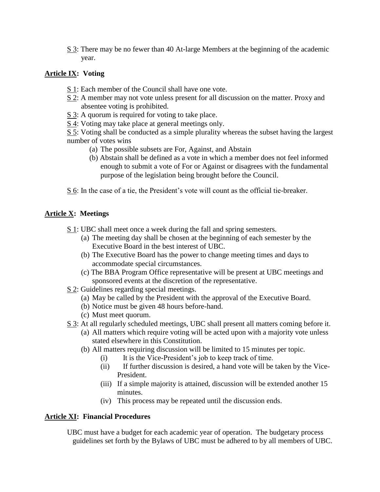S 3: There may be no fewer than 40 At-large Members at the beginning of the academic year.

## **Article IX: Voting**

- S 1: Each member of the Council shall have one vote.
- S 2: A member may not vote unless present for all discussion on the matter. Proxy and absentee voting is prohibited.
- $S \cdot 3$ : A quorum is required for voting to take place.
- S 4: Voting may take place at general meetings only.

S 5: Voting shall be conducted as a simple plurality whereas the subset having the largest number of votes wins

- (a) The possible subsets are For, Against, and Abstain
- (b) Abstain shall be defined as a vote in which a member does not feel informed enough to submit a vote of For or Against or disagrees with the fundamental purpose of the legislation being brought before the Council.

S 6: In the case of a tie, the President's vote will count as the official tie-breaker.

# **Article X: Meetings**

- S 1: UBC shall meet once a week during the fall and spring semesters.
	- (a) The meeting day shall be chosen at the beginning of each semester by the Executive Board in the best interest of UBC.
	- (b) The Executive Board has the power to change meeting times and days to accommodate special circumstances.
	- (c) The BBA Program Office representative will be present at UBC meetings and sponsored events at the discretion of the representative.
- S 2: Guidelines regarding special meetings.
	- (a) May be called by the President with the approval of the Executive Board.
	- (b) Notice must be given 48 hours before-hand.
	- (c) Must meet quorum.
- S 3: At all regularly scheduled meetings, UBC shall present all matters coming before it.
	- (a) All matters which require voting will be acted upon with a majority vote unless stated elsewhere in this Constitution.
	- (b) All matters requiring discussion will be limited to 15 minutes per topic.
		- (i) It is the Vice-President's job to keep track of time.
		- (ii) If further discussion is desired, a hand vote will be taken by the Vice-President.
		- (iii) If a simple majority is attained, discussion will be extended another 15 minutes.
		- (iv) This process may be repeated until the discussion ends.

## **Article XI: Financial Procedures**

UBC must have a budget for each academic year of operation. The budgetary process guidelines set forth by the Bylaws of UBC must be adhered to by all members of UBC.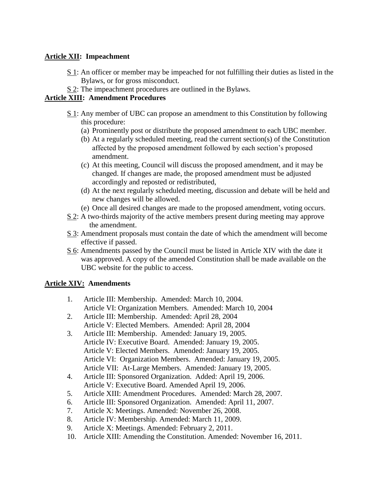## **Article XII: Impeachment**

- S 1: An officer or member may be impeached for not fulfilling their duties as listed in the Bylaws, or for gross misconduct.
- S 2: The impeachment procedures are outlined in the Bylaws.

## **Article XIII: Amendment Procedures**

- S 1: Any member of UBC can propose an amendment to this Constitution by following this procedure:
	- (a) Prominently post or distribute the proposed amendment to each UBC member.
	- (b) At a regularly scheduled meeting, read the current section(s) of the Constitution affected by the proposed amendment followed by each section's proposed amendment.
	- (c) At this meeting, Council will discuss the proposed amendment, and it may be changed. If changes are made, the proposed amendment must be adjusted accordingly and reposted or redistributed,
	- (d) At the next regularly scheduled meeting, discussion and debate will be held and new changes will be allowed.
	- (e) Once all desired changes are made to the proposed amendment, voting occurs.
- S 2: A two-thirds majority of the active members present during meeting may approve the amendment.
- S 3: Amendment proposals must contain the date of which the amendment will become effective if passed.
- S 6: Amendments passed by the Council must be listed in Article XIV with the date it was approved. A copy of the amended Constitution shall be made available on the UBC website for the public to access.

## **Article XIV: Amendments**

- 1. Article III: Membership. Amended: March 10, 2004. Article VI: Organization Members. Amended: March 10, 2004
- 2. Article III: Membership. Amended: April 28, 2004 Article V: Elected Members. Amended: April 28, 2004
- 3. Article III: Membership. Amended: January 19, 2005. Article IV: Executive Board. Amended: January 19, 2005. Article V: Elected Members. Amended: January 19, 2005. Article VI: Organization Members. Amended: January 19, 2005. Article VII: At-Large Members. Amended: January 19, 2005.
- 4. Article III: Sponsored Organization. Added: April 19, 2006. Article V: Executive Board. Amended April 19, 2006.
- 5. Article XIII: Amendment Procedures. Amended: March 28, 2007.
- 6. Article III: Sponsored Organization. Amended: April 11, 2007.
- 7. Article X: Meetings. Amended: November 26, 2008.
- 8. Article IV: Membership. Amended: March 11, 2009.
- 9. Article X: Meetings. Amended: February 2, 2011.
- 10. Article XIII: Amending the Constitution. Amended: November 16, 2011.